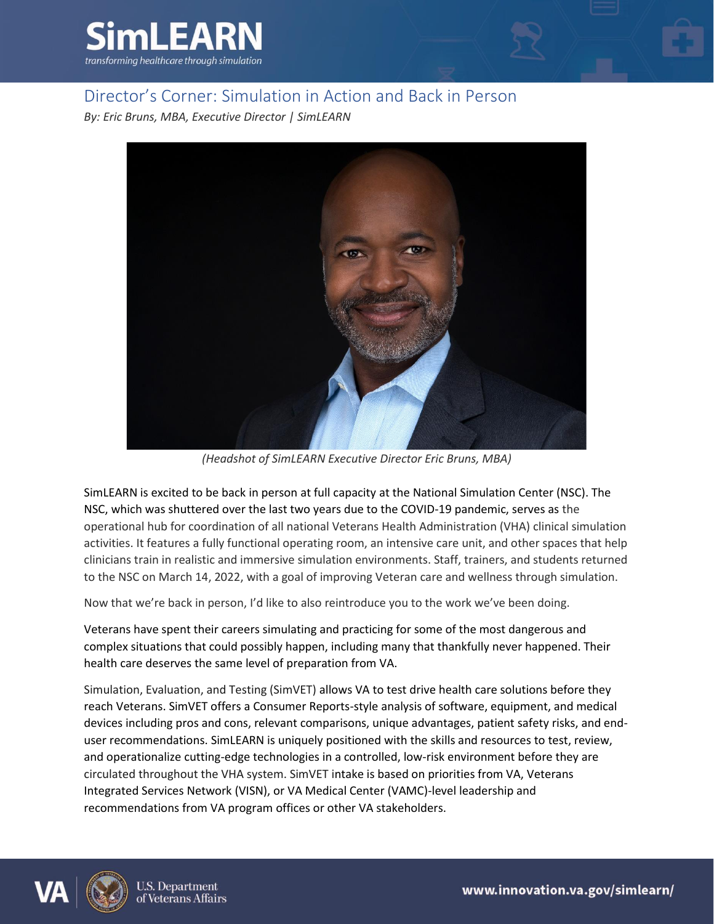

## Director's Corner: Simulation in Action and Back in Person

*By: Eric Bruns, MBA, Executive Director | SimLEARN*



*(Headshot of SimLEARN Executive Director Eric Bruns, MBA)*

SimLEARN is excited to be back in person at full capacity at the National Simulation Center (NSC). The NSC, which was shuttered over the last two years due to the COVID-19 pandemic, serves as the operational hub for coordination of all national Veterans Health Administration (VHA) clinical simulation activities. It features a fully functional operating room, an intensive care unit, and other spaces that help clinicians train in realistic and immersive simulation environments. Staff, trainers, and students returned to the NSC on March 14, 2022, with a goal of improving Veteran care and wellness through simulation.

Now that we're back in person, I'd like to also reintroduce you to the work we've been doing.

Veterans have spent their careers simulating and practicing for some of the most dangerous and complex situations that could possibly happen, including many that thankfully never happened. Their health care deserves the same level of preparation from VA.

Simulation, Evaluation, and Testing (SimVET) allows VA to test drive health care solutions before they reach Veterans. SimVET offers a Consumer Reports-style analysis of software, equipment, and medical devices including pros and cons, relevant comparisons, unique advantages, patient safety risks, and enduser recommendations. SimLEARN is uniquely positioned with the skills and resources to test, review, and operationalize cutting-edge technologies in a controlled, low-risk environment before they are circulated throughout the VHA system. SimVET intake is based on priorities from VA, Veterans Integrated Services Network (VISN), or VA Medical Center (VAMC)-level leadership and recommendations from VA program offices or other VA stakeholders.